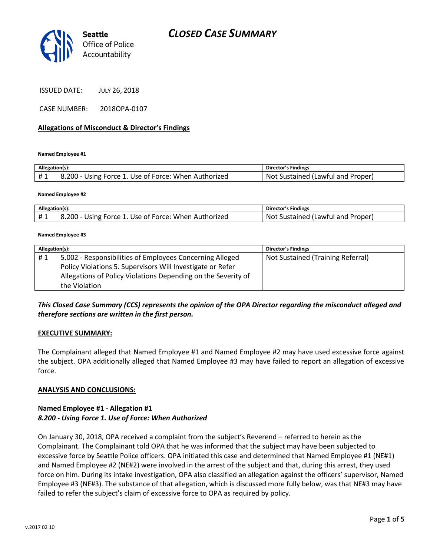

ISSUED DATE: JULY 26, 2018

CASE NUMBER: 2018OPA-0107

### **Allegations of Misconduct & Director's Findings**

**Named Employee #1**

| Allegation(s): |                                                      | <b>Director's Findings</b>        |
|----------------|------------------------------------------------------|-----------------------------------|
| #1             | 8.200 - Using Force 1. Use of Force: When Authorized | Not Sustained (Lawful and Proper) |

#### **Named Employee #2**

| Allegation(s): |                                                              | Director's Findings                      |
|----------------|--------------------------------------------------------------|------------------------------------------|
|                | -00<br>. Use of Force: When Authorized<br>: Force 1<br>Usıng | Not<br>. Proper<br>Sustained (Lawful and |

#### **Named Employee #3**

| Allegation(s): |                                                               | <b>Director's Findings</b>        |
|----------------|---------------------------------------------------------------|-----------------------------------|
| #1             | 5.002 - Responsibilities of Employees Concerning Alleged      | Not Sustained (Training Referral) |
|                | Policy Violations 5. Supervisors Will Investigate or Refer    |                                   |
|                | Allegations of Policy Violations Depending on the Severity of |                                   |
|                | the Violation                                                 |                                   |

*This Closed Case Summary (CCS) represents the opinion of the OPA Director regarding the misconduct alleged and therefore sections are written in the first person.* 

### **EXECUTIVE SUMMARY:**

The Complainant alleged that Named Employee #1 and Named Employee #2 may have used excessive force against the subject. OPA additionally alleged that Named Employee #3 may have failed to report an allegation of excessive force.

### **ANALYSIS AND CONCLUSIONS:**

### **Named Employee #1 - Allegation #1** *8.200 - Using Force 1. Use of Force: When Authorized*

On January 30, 2018, OPA received a complaint from the subject's Reverend – referred to herein as the Complainant. The Complainant told OPA that he was informed that the subject may have been subjected to excessive force by Seattle Police officers. OPA initiated this case and determined that Named Employee #1 (NE#1) and Named Employee #2 (NE#2) were involved in the arrest of the subject and that, during this arrest, they used force on him. During its intake investigation, OPA also classified an allegation against the officers' supervisor, Named Employee #3 (NE#3). The substance of that allegation, which is discussed more fully below, was that NE#3 may have failed to refer the subject's claim of excessive force to OPA as required by policy.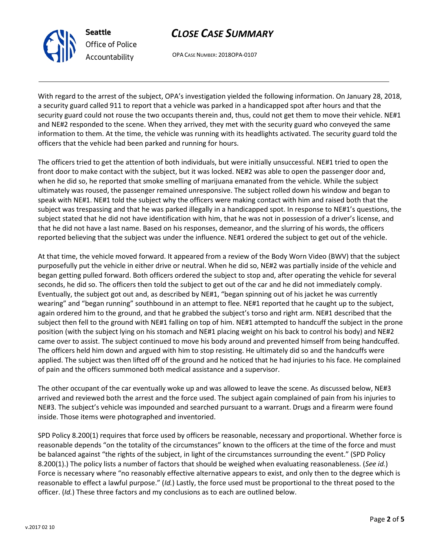reasonable depends "on the totality of the circumstances" known to the officers at the time of the force and must be balanced against "the rights of the subject, in light of the circumstances surrounding the event." (SPD Policy 8.200(1).) The policy lists a number of factors that should be weighed when evaluating reasonableness. (*See id.*) Force is necessary where "no reasonably effective alternative appears to exist, and only then to the degree which is reasonable to effect a lawful purpose." (*Id.*) Lastly, the force used must be proportional to the threat posed to the officer. (*Id.*) These three factors and my conclusions as to each are outlined below.

SPD Policy 8.200(1) requires that force used by officers be reasonable, necessary and proportional. Whether force is

# *CLOSE CASE SUMMARY*

OPA CASE NUMBER: 2018OPA-0107

**Seattle**

*Office of Police Accountability*

inside. Those items were photographed and inventoried.

With regard to the arrest of the subject, OPA's investigation yielded the following information. On January 28, 2018, a security guard called 911 to report that a vehicle was parked in a handicapped spot after hours and that the security guard could not rouse the two occupants therein and, thus, could not get them to move their vehicle. NE#1 and NE#2 responded to the scene. When they arrived, they met with the security guard who conveyed the same information to them. At the time, the vehicle was running with its headlights activated. The security guard told the officers that the vehicle had been parked and running for hours.

The officers tried to get the attention of both individuals, but were initially unsuccessful. NE#1 tried to open the front door to make contact with the subject, but it was locked. NE#2 was able to open the passenger door and, when he did so, he reported that smoke smelling of marijuana emanated from the vehicle. While the subject ultimately was roused, the passenger remained unresponsive. The subject rolled down his window and began to speak with NE#1. NE#1 told the subject why the officers were making contact with him and raised both that the subject was trespassing and that he was parked illegally in a handicapped spot. In response to NE#1's questions, the subject stated that he did not have identification with him, that he was not in possession of a driver's license, and that he did not have a last name. Based on his responses, demeanor, and the slurring of his words, the officers reported believing that the subject was under the influence. NE#1 ordered the subject to get out of the vehicle.

At that time, the vehicle moved forward. It appeared from a review of the Body Worn Video (BWV) that the subject purposefully put the vehicle in either drive or neutral. When he did so, NE#2 was partially inside of the vehicle and began getting pulled forward. Both officers ordered the subject to stop and, after operating the vehicle for several seconds, he did so. The officers then told the subject to get out of the car and he did not immediately comply. Eventually, the subject got out and, as described by NE#1, "began spinning out of his jacket he was currently wearing" and "began running" southbound in an attempt to flee. NE#1 reported that he caught up to the subject, again ordered him to the ground, and that he grabbed the subject's torso and right arm. NE#1 described that the subject then fell to the ground with NE#1 falling on top of him. NE#1 attempted to handcuff the subject in the prone position (with the subject lying on his stomach and NE#1 placing weight on his back to control his body) and NE#2 came over to assist. The subject continued to move his body around and prevented himself from being handcuffed. The officers held him down and argued with him to stop resisting. He ultimately did so and the handcuffs were applied. The subject was then lifted off of the ground and he noticed that he had injuries to his face. He complained of pain and the officers summoned both medical assistance and a supervisor.

The other occupant of the car eventually woke up and was allowed to leave the scene. As discussed below, NE#3 arrived and reviewed both the arrest and the force used. The subject again complained of pain from his injuries to NE#3. The subject's vehicle was impounded and searched pursuant to a warrant. Drugs and a firearm were found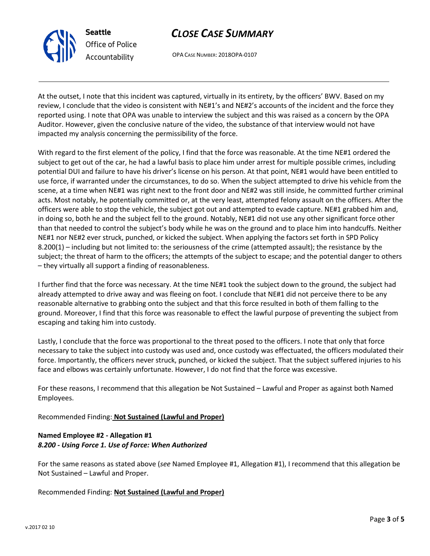# *CLOSE CASE SUMMARY*

OPA CASE NUMBER: 2018OPA-0107

At the outset, I note that this incident was captured, virtually in its entirety, by the officers' BWV. Based on my review, I conclude that the video is consistent with NE#1's and NE#2's accounts of the incident and the force they reported using. I note that OPA was unable to interview the subject and this was raised as a concern by the OPA Auditor. However, given the conclusive nature of the video, the substance of that interview would not have impacted my analysis concerning the permissibility of the force.

With regard to the first element of the policy, I find that the force was reasonable. At the time NE#1 ordered the subject to get out of the car, he had a lawful basis to place him under arrest for multiple possible crimes, including potential DUI and failure to have his driver's license on his person. At that point, NE#1 would have been entitled to use force, if warranted under the circumstances, to do so. When the subject attempted to drive his vehicle from the scene, at a time when NE#1 was right next to the front door and NE#2 was still inside, he committed further criminal acts. Most notably, he potentially committed or, at the very least, attempted felony assault on the officers. After the officers were able to stop the vehicle, the subject got out and attempted to evade capture. NE#1 grabbed him and, in doing so, both he and the subject fell to the ground. Notably, NE#1 did not use any other significant force other than that needed to control the subject's body while he was on the ground and to place him into handcuffs. Neither NE#1 nor NE#2 ever struck, punched, or kicked the subject. When applying the factors set forth in SPD Policy 8.200(1) – including but not limited to: the seriousness of the crime (attempted assault); the resistance by the subject; the threat of harm to the officers; the attempts of the subject to escape; and the potential danger to others – they virtually all support a finding of reasonableness.

I further find that the force was necessary. At the time NE#1 took the subject down to the ground, the subject had already attempted to drive away and was fleeing on foot. I conclude that NE#1 did not perceive there to be any reasonable alternative to grabbing onto the subject and that this force resulted in both of them falling to the ground. Moreover, I find that this force was reasonable to effect the lawful purpose of preventing the subject from escaping and taking him into custody.

Lastly, I conclude that the force was proportional to the threat posed to the officers. I note that only that force necessary to take the subject into custody was used and, once custody was effectuated, the officers modulated their force. Importantly, the officers never struck, punched, or kicked the subject. That the subject suffered injuries to his face and elbows was certainly unfortunate. However, I do not find that the force was excessive.

For these reasons, I recommend that this allegation be Not Sustained – Lawful and Proper as against both Named Employees.

Recommended Finding: **Not Sustained (Lawful and Proper)**

## **Named Employee #2 - Allegation #1** *8.200 - Using Force 1. Use of Force: When Authorized*

For the same reasons as stated above (*see* Named Employee #1, Allegation #1), I recommend that this allegation be Not Sustained – Lawful and Proper.

Recommended Finding: **Not Sustained (Lawful and Proper)**



**Seattle** *Office of Police Accountability*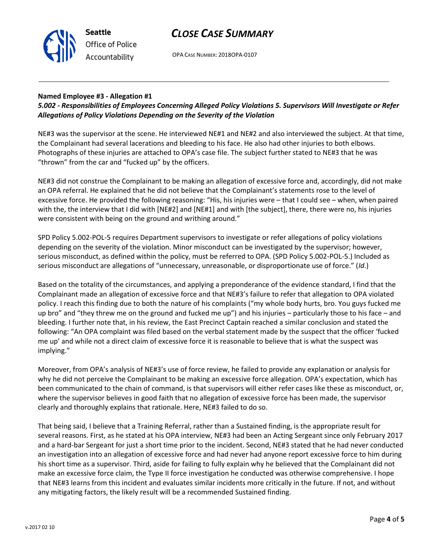# *CLOSE CASE SUMMARY*



OPA CASE NUMBER: 2018OPA-0107

## **Named Employee #3 - Allegation #1**

## *5.002 - Responsibilities of Employees Concerning Alleged Policy Violations 5. Supervisors Will Investigate or Refer Allegations of Policy Violations Depending on the Severity of the Violation*

NE#3 was the supervisor at the scene. He interviewed NE#1 and NE#2 and also interviewed the subject. At that time, the Complainant had several lacerations and bleeding to his face. He also had other injuries to both elbows. Photographs of these injuries are attached to OPA's case file. The subject further stated to NE#3 that he was "thrown" from the car and "fucked up" by the officers.

NE#3 did not construe the Complainant to be making an allegation of excessive force and, accordingly, did not make an OPA referral. He explained that he did not believe that the Complainant's statements rose to the level of excessive force. He provided the following reasoning: "His, his injuries were – that I could see – when, when paired with the, the interview that I did with [NE#2] and [NE#1] and with [the subject], there, there were no, his injuries were consistent with being on the ground and writhing around."

SPD Policy 5.002-POL-5 requires Department supervisors to investigate or refer allegations of policy violations depending on the severity of the violation. Minor misconduct can be investigated by the supervisor; however, serious misconduct, as defined within the policy, must be referred to OPA. (SPD Policy 5.002-POL-5.) Included as serious misconduct are allegations of "unnecessary, unreasonable, or disproportionate use of force." (*Id*.)

Based on the totality of the circumstances, and applying a preponderance of the evidence standard, I find that the Complainant made an allegation of excessive force and that NE#3's failure to refer that allegation to OPA violated policy. I reach this finding due to both the nature of his complaints ("my whole body hurts, bro. You guys fucked me up bro" and "they threw me on the ground and fucked me up") and his injuries – particularly those to his face – and bleeding. I further note that, in his review, the East Precinct Captain reached a similar conclusion and stated the following: "An OPA complaint was filed based on the verbal statement made by the suspect that the officer 'fucked me up' and while not a direct claim of excessive force it is reasonable to believe that is what the suspect was implying."

Moreover, from OPA's analysis of NE#3's use of force review, he failed to provide any explanation or analysis for why he did not perceive the Complainant to be making an excessive force allegation. OPA's expectation, which has been communicated to the chain of command, is that supervisors will either refer cases like these as misconduct, or, where the supervisor believes in good faith that no allegation of excessive force has been made, the supervisor clearly and thoroughly explains that rationale. Here, NE#3 failed to do so.

That being said, I believe that a Training Referral, rather than a Sustained finding, is the appropriate result for several reasons. First, as he stated at his OPA interview, NE#3 had been an Acting Sergeant since only February 2017 and a hard-bar Sergeant for just a short time prior to the incident. Second, NE#3 stated that he had never conducted an investigation into an allegation of excessive force and had never had anyone report excessive force to him during his short time as a supervisor. Third, aside for failing to fully explain why he believed that the Complainant did not make an excessive force claim, the Type II force investigation he conducted was otherwise comprehensive. I hope that NE#3 learns from this incident and evaluates similar incidents more critically in the future. If not, and without any mitigating factors, the likely result will be a recommended Sustained finding.